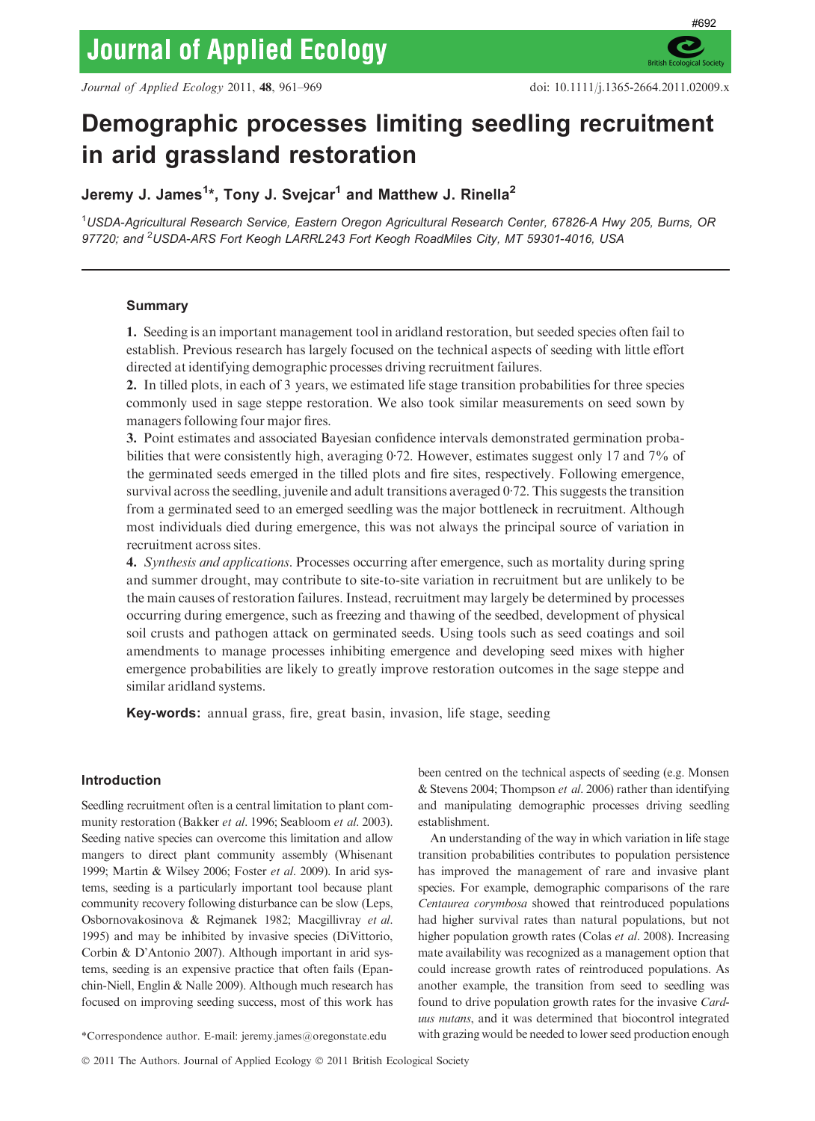**British E** 

# Demographic processes limiting seedling recruitment in arid grassland restoration

Jeremy J. James<sup>1</sup>\*, Tony J. Svejcar<sup>1</sup> and Matthew J. Rinella<sup>2</sup>

<sup>1</sup>USDA-Agricultural Research Service, Eastern Oregon Agricultural Research Center, 67826-A Hwy 205, Burns, OR 97720; and <sup>2</sup>USDA-ARS Fort Keogh LARRL243 Fort Keogh RoadMiles City, MT 59301-4016, USA

# **Summary**

1. Seeding is an important management tool in aridland restoration, but seeded species often fail to establish. Previous research has largely focused on the technical aspects of seeding with little effort directed at identifying demographic processes driving recruitment failures.

2. In tilled plots, in each of 3 years, we estimated life stage transition probabilities for three species commonly used in sage steppe restoration. We also took similar measurements on seed sown by managers following four major fires.

3. Point estimates and associated Bayesian confidence intervals demonstrated germination probabilities that were consistently high, averaging  $0.72$ . However, estimates suggest only 17 and 7% of the germinated seeds emerged in the tilled plots and fire sites, respectively. Following emergence, survival across the seedling, juvenile and adult transitions averaged  $0.72$ . This suggests the transition from a germinated seed to an emerged seedling was the major bottleneck in recruitment. Although most individuals died during emergence, this was not always the principal source of variation in recruitment across sites.

4. Synthesis and applications. Processes occurring after emergence, such as mortality during spring and summer drought, may contribute to site-to-site variation in recruitment but are unlikely to be the main causes of restoration failures. Instead, recruitment may largely be determined by processes occurring during emergence, such as freezing and thawing of the seedbed, development of physical soil crusts and pathogen attack on germinated seeds. Using tools such as seed coatings and soil amendments to manage processes inhibiting emergence and developing seed mixes with higher emergence probabilities are likely to greatly improve restoration outcomes in the sage steppe and similar aridland systems.

Key-words: annual grass, fire, great basin, invasion, life stage, seeding

# Introduction

Seedling recruitment often is a central limitation to plant community restoration (Bakker et al. 1996; Seabloom et al. 2003). Seeding native species can overcome this limitation and allow mangers to direct plant community assembly (Whisenant 1999; Martin & Wilsey 2006; Foster et al. 2009). In arid systems, seeding is a particularly important tool because plant community recovery following disturbance can be slow (Leps, Osbornovakosinova & Rejmanek 1982; Macgillivray et al. 1995) and may be inhibited by invasive species (DiVittorio, Corbin & D'Antonio 2007). Although important in arid systems, seeding is an expensive practice that often fails (Epanchin-Niell, Englin & Nalle 2009). Although much research has focused on improving seeding success, most of this work has

© 2011 The Authors. Journal of Applied Ecology © 2011 British Ecological Society

been centred on the technical aspects of seeding (e.g. Monsen & Stevens 2004; Thompson et al. 2006) rather than identifying and manipulating demographic processes driving seedling establishment.

An understanding of the way in which variation in life stage transition probabilities contributes to population persistence has improved the management of rare and invasive plant species. For example, demographic comparisons of the rare Centaurea corymbosa showed that reintroduced populations had higher survival rates than natural populations, but not higher population growth rates (Colas *et al.* 2008). Increasing mate availability was recognized as a management option that could increase growth rates of reintroduced populations. As another example, the transition from seed to seedling was found to drive population growth rates for the invasive Carduus nutans, and it was determined that biocontrol integrated \*Correspondence author. E-mail: jeremy.james@oregonstate.edu with grazing would be needed to lower seed production enough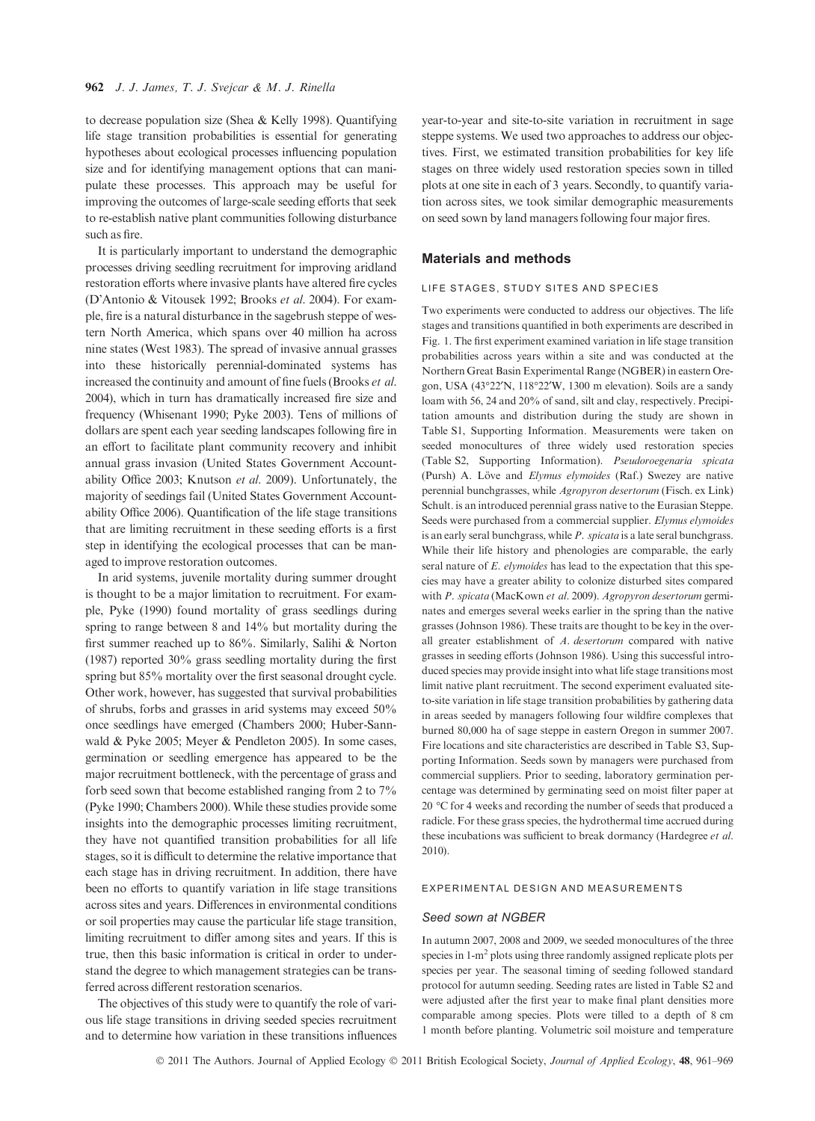to decrease population size (Shea & Kelly 1998). Quantifying life stage transition probabilities is essential for generating hypotheses about ecological processes influencing population size and for identifying management options that can manipulate these processes. This approach may be useful for improving the outcomes of large-scale seeding efforts that seek to re-establish native plant communities following disturbance such as fire.

It is particularly important to understand the demographic processes driving seedling recruitment for improving aridland restoration efforts where invasive plants have altered fire cycles (D'Antonio & Vitousek 1992; Brooks et al. 2004). For example, fire is a natural disturbance in the sagebrush steppe of western North America, which spans over 40 million ha across nine states (West 1983). The spread of invasive annual grasses into these historically perennial-dominated systems has increased the continuity and amount of fine fuels (Brooks et al. 2004), which in turn has dramatically increased fire size and frequency (Whisenant 1990; Pyke 2003). Tens of millions of dollars are spent each year seeding landscapes following fire in an effort to facilitate plant community recovery and inhibit annual grass invasion (United States Government Accountability Office 2003; Knutson et al. 2009). Unfortunately, the majority of seedings fail (United States Government Accountability Office 2006). Quantification of the life stage transitions that are limiting recruitment in these seeding efforts is a first step in identifying the ecological processes that can be managed to improve restoration outcomes.

In arid systems, juvenile mortality during summer drought is thought to be a major limitation to recruitment. For example, Pyke (1990) found mortality of grass seedlings during spring to range between 8 and 14% but mortality during the first summer reached up to 86%. Similarly, Salihi & Norton (1987) reported 30% grass seedling mortality during the first spring but  $85\%$  mortality over the first seasonal drought cycle. Other work, however, has suggested that survival probabilities of shrubs, forbs and grasses in arid systems may exceed 50% once seedlings have emerged (Chambers 2000; Huber-Sannwald & Pyke 2005; Meyer & Pendleton 2005). In some cases, germination or seedling emergence has appeared to be the major recruitment bottleneck, with the percentage of grass and forb seed sown that become established ranging from 2 to 7% (Pyke 1990; Chambers 2000). While these studies provide some insights into the demographic processes limiting recruitment, they have not quantified transition probabilities for all life stages, so it is difficult to determine the relative importance that each stage has in driving recruitment. In addition, there have been no efforts to quantify variation in life stage transitions across sites and years. Differences in environmental conditions or soil properties may cause the particular life stage transition, limiting recruitment to differ among sites and years. If this is true, then this basic information is critical in order to understand the degree to which management strategies can be transferred across different restoration scenarios.

The objectives of this study were to quantify the role of various life stage transitions in driving seeded species recruitment and to determine how variation in these transitions influences year-to-year and site-to-site variation in recruitment in sage steppe systems. We used two approaches to address our objectives. First, we estimated transition probabilities for key life stages on three widely used restoration species sown in tilled plots at one site in each of 3 years. Secondly, to quantify variation across sites, we took similar demographic measurements on seed sown by land managers following four major fires.

## Materials and methods

## LIFE STAGES, STUDY SITES AND SPECIES

Two experiments were conducted to address our objectives. The life stages and transitions quantified in both experiments are described in Fig. 1. The first experiment examined variation in life stage transition probabilities across years within a site and was conducted at the Northern Great Basin Experimental Range (NGBER) in eastern Oregon, USA (43°22′N, 118°22′W, 1300 m elevation). Soils are a sandy loam with 56, 24 and 20% of sand, silt and clay, respectively. Precipitation amounts and distribution during the study are shown in Table S1, Supporting Information. Measurements were taken on seeded monocultures of three widely used restoration species (Table S2, Supporting Information). Pseudoroegenaria spicata (Pursh) A. Löve and Elymus elymoides (Raf.) Swezey are native perennial bunchgrasses, while Agropyron desertorum (Fisch. ex Link) Schult. is an introduced perennial grass native to the Eurasian Steppe. Seeds were purchased from a commercial supplier. Elymus elymoides is an early seral bunchgrass, while P. spicata is a late seral bunchgrass. While their life history and phenologies are comparable, the early seral nature of E. elymoides has lead to the expectation that this species may have a greater ability to colonize disturbed sites compared with P. spicata (MacKown et al. 2009). Agropyron desertorum germinates and emerges several weeks earlier in the spring than the native grasses (Johnson 1986). These traits are thought to be key in the overall greater establishment of A. desertorum compared with native grasses in seeding efforts (Johnson 1986). Using this successful introduced species may provide insight into what life stage transitions most limit native plant recruitment. The second experiment evaluated siteto-site variation in life stage transition probabilities by gathering data in areas seeded by managers following four wildfire complexes that burned 80,000 ha of sage steppe in eastern Oregon in summer 2007. Fire locations and site characteristics are described in Table S3, Supporting Information. Seeds sown by managers were purchased from commercial suppliers. Prior to seeding, laboratory germination percentage was determined by germinating seed on moist filter paper at 20  $\degree$ C for 4 weeks and recording the number of seeds that produced a radicle. For these grass species, the hydrothermal time accrued during these incubations was sufficient to break dormancy (Hardegree et al. 2010).

#### EXPERIMENTAL DESIGN AND MEASUREMENTS

## Seed sown at NGBER

In autumn 2007, 2008 and 2009, we seeded monocultures of the three species in 1-m<sup>2</sup> plots using three randomly assigned replicate plots per species per year. The seasonal timing of seeding followed standard protocol for autumn seeding. Seeding rates are listed in Table S2 and were adjusted after the first year to make final plant densities more comparable among species. Plots were tilled to a depth of 8 cm 1 month before planting. Volumetric soil moisture and temperature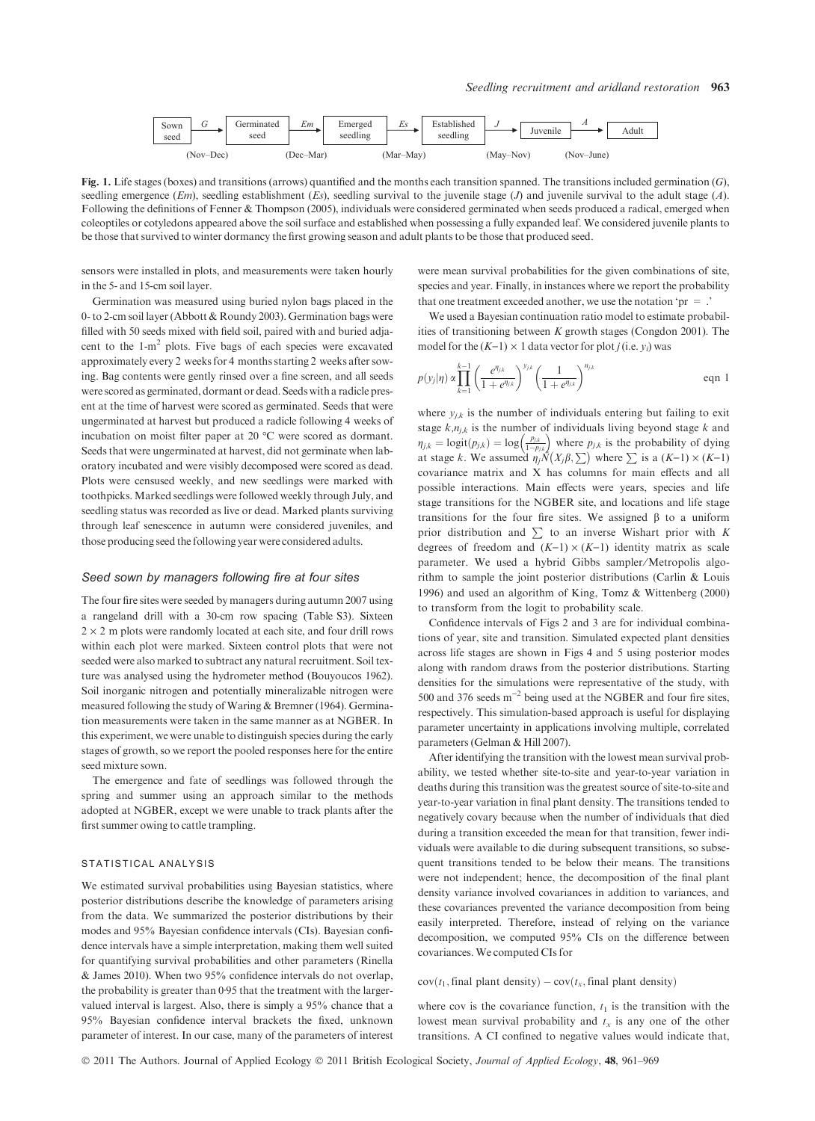

Fig. 1. Life stages (boxes) and transitions (arrows) quantified and the months each transition spanned. The transitions included germination  $(G)$ , seedling emergence (*Em*), seedling establishment (*Es*), seedling survival to the juvenile stage (*J*) and juvenile survival to the adult stage (*A*). Following the definitions of Fenner & Thompson (2005), individuals were considered germinated when seeds produced a radical, emerged when coleoptiles or cotyledons appeared above the soil surface and established when possessing a fully expanded leaf. We considered juvenile plants to be those that survived to winter dormancy the first growing season and adult plants to be those that produced seed.

sensors were installed in plots, and measurements were taken hourly in the 5- and 15-cm soil layer.

Germination was measured using buried nylon bags placed in the 0- to 2-cm soil layer (Abbott & Roundy 2003). Germination bags were filled with 50 seeds mixed with field soil, paired with and buried adjacent to the  $1-m^2$  plots. Five bags of each species were excavated approximately every 2 weeks for 4 months starting 2 weeks after sowing. Bag contents were gently rinsed over a fine screen, and all seeds were scored as germinated, dormant or dead. Seeds with a radicle present at the time of harvest were scored as germinated. Seeds that were ungerminated at harvest but produced a radicle following 4 weeks of incubation on moist filter paper at 20 °C were scored as dormant. Seeds that were ungerminated at harvest, did not germinate when laboratory incubated and were visibly decomposed were scored as dead. Plots were censused weekly, and new seedlings were marked with toothpicks. Marked seedlings were followed weekly through July, and seedling status was recorded as live or dead. Marked plants surviving through leaf senescence in autumn were considered juveniles, and those producing seed the following year were considered adults.

#### Seed sown by managers following fire at four sites

The four fire sites were seeded by managers during autumn 2007 using a rangeland drill with a 30-cm row spacing (Table S3). Sixteen  $2 \times 2$  m plots were randomly located at each site, and four drill rows within each plot were marked. Sixteen control plots that were not seeded were also marked to subtract any natural recruitment. Soil texture was analysed using the hydrometer method (Bouyoucos 1962). Soil inorganic nitrogen and potentially mineralizable nitrogen were measured following the study of Waring & Bremner (1964). Germination measurements were taken in the same manner as at NGBER. In this experiment, we were unable to distinguish species during the early stages of growth, so we report the pooled responses here for the entire seed mixture sown.

The emergence and fate of seedlings was followed through the spring and summer using an approach similar to the methods adopted at NGBER, except we were unable to track plants after the first summer owing to cattle trampling.

## STATISTICAL ANALYSIS

We estimated survival probabilities using Bayesian statistics, where posterior distributions describe the knowledge of parameters arising from the data. We summarized the posterior distributions by their modes and 95% Bayesian confidence intervals (CIs). Bayesian confidence intervals have a simple interpretation, making them well suited for quantifying survival probabilities and other parameters (Rinella & James 2010). When two 95% confidence intervals do not overlap, the probability is greater than 0.95 that the treatment with the largervalued interval is largest. Also, there is simply a 95% chance that a 95% Bayesian confidence interval brackets the fixed, unknown parameter of interest. In our case, many of the parameters of interest were mean survival probabilities for the given combinations of site, species and year. Finally, in instances where we report the probability that one treatment exceeded another, we use the notation ' $pr =$ .'

We used a Bayesian continuation ratio model to estimate probabilities of transitioning between  $K$  growth stages (Congdon 2001). The model for the  $(K-1) \times 1$  data vector for plot j (i.e.  $y_i$ ) was

$$
p(y_j|\eta) \alpha \prod_{k=1}^{k-1} \left( \frac{e^{\eta_{jk}}}{1 + e^{\eta_{jk}}} \right)^{y_{jk}} \left( \frac{1}{1 + e^{\eta_{jk}}} \right)^{n_{jk}} \quad \text{eqn 1}
$$

where  $y_{ik}$  is the number of individuals entering but failing to exit stage  $k, n_{j,k}$  is the number of individuals living beyond stage k and  $g_{j,k} = \log(t/p_{j,k}) = \log\left(\frac{p_{j,k}}{1-p_{j,k}}\right)$  where  $p_{j,k}$  is the probability of dying at stage k. We assumed  $\eta_i \widetilde{N}(X_i \beta, \sum)$  where  $\sum$  is a  $(K-1) \times (K-1)$ covariance matrix and X has columns for main effects and all possible interactions. Main effects were years, species and life stage transitions for the NGBER site, and locations and life stage transitions for the four fire sites. We assigned  $\beta$  to a uniform prior distribution and  $\sum$  to an inverse Wishart prior with K degrees of freedom and  $(K-1) \times (K-1)$  identity matrix as scale parameter. We used a hybrid Gibbs sampler⁄ Metropolis algorithm to sample the joint posterior distributions (Carlin & Louis 1996) and used an algorithm of King, Tomz & Wittenberg (2000) to transform from the logit to probability scale.

Confidence intervals of Figs 2 and 3 are for individual combinations of year, site and transition. Simulated expected plant densities across life stages are shown in Figs 4 and 5 using posterior modes along with random draws from the posterior distributions. Starting densities for the simulations were representative of the study, with 500 and 376 seeds  $m^{-2}$  being used at the NGBER and four fire sites, respectively. This simulation-based approach is useful for displaying parameter uncertainty in applications involving multiple, correlated parameters (Gelman & Hill 2007).

After identifying the transition with the lowest mean survival probability, we tested whether site-to-site and year-to-year variation in deaths during this transition was the greatest source of site-to-site and year-to-year variation in final plant density. The transitions tended to negatively covary because when the number of individuals that died during a transition exceeded the mean for that transition, fewer individuals were available to die during subsequent transitions, so subsequent transitions tended to be below their means. The transitions were not independent; hence, the decomposition of the final plant density variance involved covariances in addition to variances, and these covariances prevented the variance decomposition from being easily interpreted. Therefore, instead of relying on the variance decomposition, we computed 95% CIs on the difference between covariances. We computed CIs for

 $cov(t_1, \text{final plant density}) - cov(t_x, \text{final plant density})$ 

where cov is the covariance function,  $t_1$  is the transition with the lowest mean survival probability and  $t_x$  is any one of the other transitions. A CI confined to negative values would indicate that,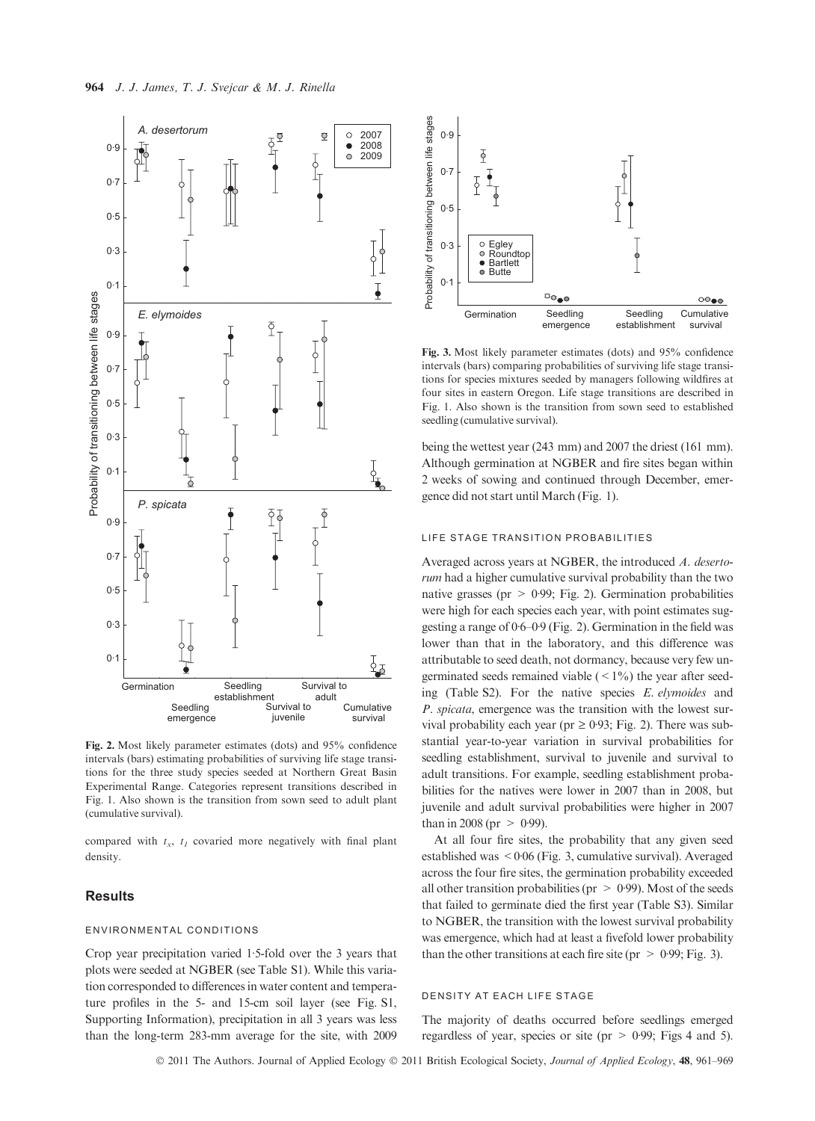

Fig. 2. Most likely parameter estimates (dots) and 95% confidence intervals (bars) estimating probabilities of surviving life stage transitions for the three study species seeded at Northern Great Basin Experimental Range. Categories represent transitions described in Fig. 1. Also shown is the transition from sown seed to adult plant (cumulative survival).

compared with  $t_x$ ,  $t_1$  covaried more negatively with final plant density.

## **Results**

#### ENVIRONMENTAL CONDITIONS

Crop year precipitation varied  $1.5$ -fold over the 3 years that plots were seeded at NGBER (see Table S1). While this variation corresponded to differences in water content and temperature profiles in the 5- and 15-cm soil layer (see Fig. S1, Supporting Information), precipitation in all 3 years was less than the long-term 283-mm average for the site, with 2009



Fig. 3. Most likely parameter estimates (dots) and 95% confidence intervals (bars) comparing probabilities of surviving life stage transitions for species mixtures seeded by managers following wildfires at four sites in eastern Oregon. Life stage transitions are described in Fig. 1. Also shown is the transition from sown seed to established seedling (cumulative survival).

being the wettest year (243 mm) and 2007 the driest (161 mm). Although germination at NGBER and fire sites began within 2 weeks of sowing and continued through December, emergence did not start until March (Fig. 1).

#### LIFE STAGE TRANSITION PROBABILITIES

Averaged across years at NGBER, the introduced A. desertorum had a higher cumulative survival probability than the two native grasses (pr  $> 0.99$ ; Fig. 2). Germination probabilities were high for each species each year, with point estimates suggesting a range of  $0.6-0.9$  (Fig. 2). Germination in the field was lower than that in the laboratory, and this difference was attributable to seed death, not dormancy, because very few ungerminated seeds remained viable  $(<1\%)$  the year after seeding (Table S2). For the native species E. elymoides and P. spicata, emergence was the transition with the lowest survival probability each year (pr  $\geq 0.93$ ; Fig. 2). There was substantial year-to-year variation in survival probabilities for seedling establishment, survival to juvenile and survival to adult transitions. For example, seedling establishment probabilities for the natives were lower in 2007 than in 2008, but juvenile and adult survival probabilities were higher in 2007 than in 2008 (pr  $> 0.99$ ).

At all four fire sites, the probability that any given seed established was  $\leq 0.06$  (Fig. 3, cumulative survival). Averaged across the four fire sites, the germination probability exceeded all other transition probabilities ( $pr > 0.99$ ). Most of the seeds that failed to germinate died the first year (Table S3). Similar to NGBER, the transition with the lowest survival probability was emergence, which had at least a fivefold lower probability than the other transitions at each fire site (pr  $> 0.99$ ; Fig. 3).

## DENSITY AT EACH LIFE STAGE

The majority of deaths occurred before seedlings emerged regardless of year, species or site (pr  $> 0.99$ ; Figs 4 and 5).

© 2011 The Authors. Journal of Applied Ecology © 2011 British Ecological Society, Journal of Applied Ecology, 48, 961–969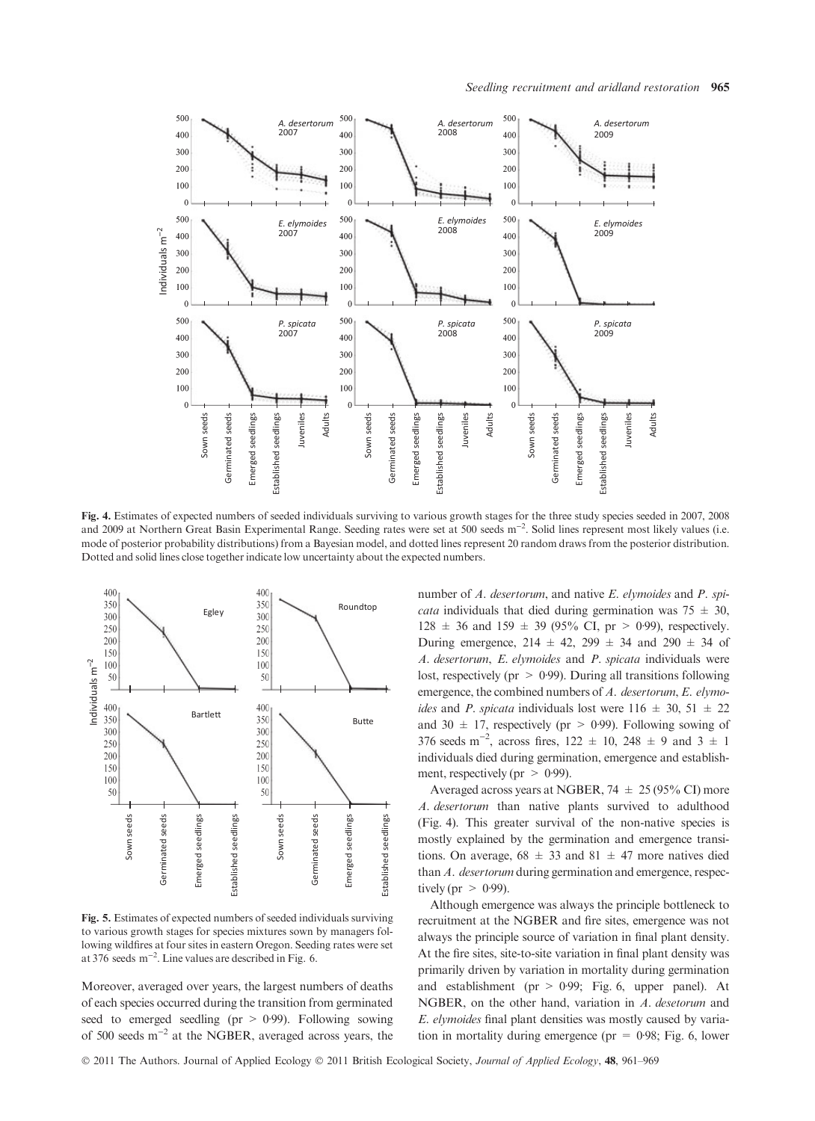

Fig. 4. Estimates of expected numbers of seeded individuals surviving to various growth stages for the three study species seeded in 2007, 2008 and 2009 at Northern Great Basin Experimental Range. Seeding rates were set at 500 seeds  $m^{-2}$ . Solid lines represent most likely values (i.e. mode of posterior probability distributions) from a Bayesian model, and dotted lines represent 20 random draws from the posterior distribution. Dotted and solid lines close together indicate low uncertainty about the expected numbers.



Fig. 5. Estimates of expected numbers of seeded individuals surviving to various growth stages for species mixtures sown by managers following wildfires at four sites in eastern Oregon. Seeding rates were set at 376 seeds  $m^{-2}$ . Line values are described in Fig. 6.

Moreover, averaged over years, the largest numbers of deaths of each species occurred during the transition from germinated seed to emerged seedling ( $pr > 0.99$ ). Following sowing of 500 seeds  $m^{-2}$  at the NGBER, averaged across years, the

number of A. desertorum, and native E. elymoides and P. spi*cata* individuals that died during germination was  $75 \pm 30$ ,  $128 \pm 36$  and  $159 \pm 39$  (95% CI, pr > 0.99), respectively. During emergence,  $214 \pm 42$ ,  $299 \pm 34$  and  $290 \pm 34$  of A. desertorum, E. elymoides and P. spicata individuals were lost, respectively (pr  $> 0.99$ ). During all transitions following emergence, the combined numbers of A. desertorum, E. elymoides and P. spicata individuals lost were  $116 \pm 30, 51 \pm 22$ and 30  $\pm$  17, respectively (pr > 0.99). Following sowing of 376 seeds m<sup>-2</sup>, across fires,  $122 \pm 10$ ,  $248 \pm 9$  and  $3 \pm 1$ individuals died during germination, emergence and establishment, respectively (pr  $> 0.99$ ).

Averaged across years at NGBER,  $74 \pm 25 (95\% \text{ CI})$  more A. desertorum than native plants survived to adulthood (Fig. 4). This greater survival of the non-native species is mostly explained by the germination and emergence transitions. On average,  $68 \pm 33$  and  $81 \pm 47$  more natives died than A. desertorum during germination and emergence, respectively (pr  $> 0.99$ ).

Although emergence was always the principle bottleneck to recruitment at the NGBER and fire sites, emergence was not always the principle source of variation in final plant density. At the fire sites, site-to-site variation in final plant density was primarily driven by variation in mortality during germination and establishment (pr  $> 0.99$ ; Fig. 6, upper panel). At NGBER, on the other hand, variation in A. desetorum and E. elymoides final plant densities was mostly caused by variation in mortality during emergence ( $pr = 0.98$ ; Fig. 6, lower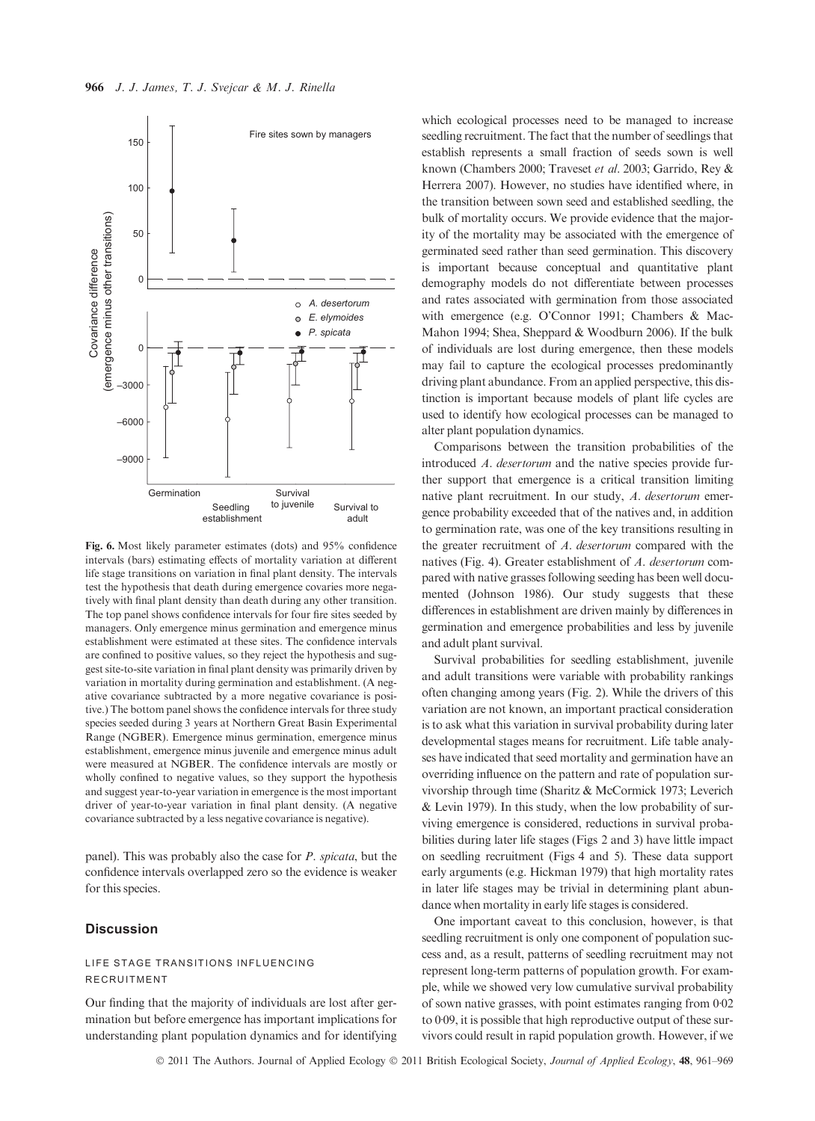

Fig. 6. Most likely parameter estimates (dots) and 95% confidence intervals (bars) estimating effects of mortality variation at different life stage transitions on variation in final plant density. The intervals test the hypothesis that death during emergence covaries more negatively with final plant density than death during any other transition. The top panel shows confidence intervals for four fire sites seeded by managers. Only emergence minus germination and emergence minus establishment were estimated at these sites. The confidence intervals are confined to positive values, so they reject the hypothesis and suggest site-to-site variation in final plant density was primarily driven by variation in mortality during germination and establishment. (A negative covariance subtracted by a more negative covariance is positive.) The bottom panel shows the confidence intervals for three study species seeded during 3 years at Northern Great Basin Experimental Range (NGBER). Emergence minus germination, emergence minus establishment, emergence minus juvenile and emergence minus adult were measured at NGBER. The confidence intervals are mostly or wholly confined to negative values, so they support the hypothesis and suggest year-to-year variation in emergence is the most important driver of year-to-year variation in final plant density. (A negative covariance subtracted by a less negative covariance is negative).

panel). This was probably also the case for P. spicata, but the confidence intervals overlapped zero so the evidence is weaker for this species.

# **Discussion**

## LIFE STAGE TRANSITIONS INFLUENCING RECRUITMENT

Our finding that the majority of individuals are lost after germination but before emergence has important implications for understanding plant population dynamics and for identifying which ecological processes need to be managed to increase seedling recruitment. The fact that the number of seedlings that establish represents a small fraction of seeds sown is well known (Chambers 2000; Traveset et al. 2003; Garrido, Rey & Herrera 2007). However, no studies have identified where, in the transition between sown seed and established seedling, the bulk of mortality occurs. We provide evidence that the majority of the mortality may be associated with the emergence of germinated seed rather than seed germination. This discovery is important because conceptual and quantitative plant demography models do not differentiate between processes and rates associated with germination from those associated with emergence (e.g. O'Connor 1991; Chambers & Mac-Mahon 1994; Shea, Sheppard & Woodburn 2006). If the bulk of individuals are lost during emergence, then these models may fail to capture the ecological processes predominantly driving plant abundance. From an applied perspective, this distinction is important because models of plant life cycles are used to identify how ecological processes can be managed to alter plant population dynamics.

Comparisons between the transition probabilities of the introduced A. desertorum and the native species provide further support that emergence is a critical transition limiting native plant recruitment. In our study, A. desertorum emergence probability exceeded that of the natives and, in addition to germination rate, was one of the key transitions resulting in the greater recruitment of A. desertorum compared with the natives (Fig. 4). Greater establishment of A. desertorum compared with native grasses following seeding has been well documented (Johnson 1986). Our study suggests that these differences in establishment are driven mainly by differences in germination and emergence probabilities and less by juvenile and adult plant survival.

Survival probabilities for seedling establishment, juvenile and adult transitions were variable with probability rankings often changing among years (Fig. 2). While the drivers of this variation are not known, an important practical consideration is to ask what this variation in survival probability during later developmental stages means for recruitment. Life table analyses have indicated that seed mortality and germination have an overriding influence on the pattern and rate of population survivorship through time (Sharitz & McCormick 1973; Leverich & Levin 1979). In this study, when the low probability of surviving emergence is considered, reductions in survival probabilities during later life stages (Figs 2 and 3) have little impact on seedling recruitment (Figs 4 and 5). These data support early arguments (e.g. Hickman 1979) that high mortality rates in later life stages may be trivial in determining plant abundance when mortality in early life stages is considered.

One important caveat to this conclusion, however, is that seedling recruitment is only one component of population success and, as a result, patterns of seedling recruitment may not represent long-term patterns of population growth. For example, while we showed very low cumulative survival probability of sown native grasses, with point estimates ranging from  $0.02$ to  $0.09$ , it is possible that high reproductive output of these survivors could result in rapid population growth. However, if we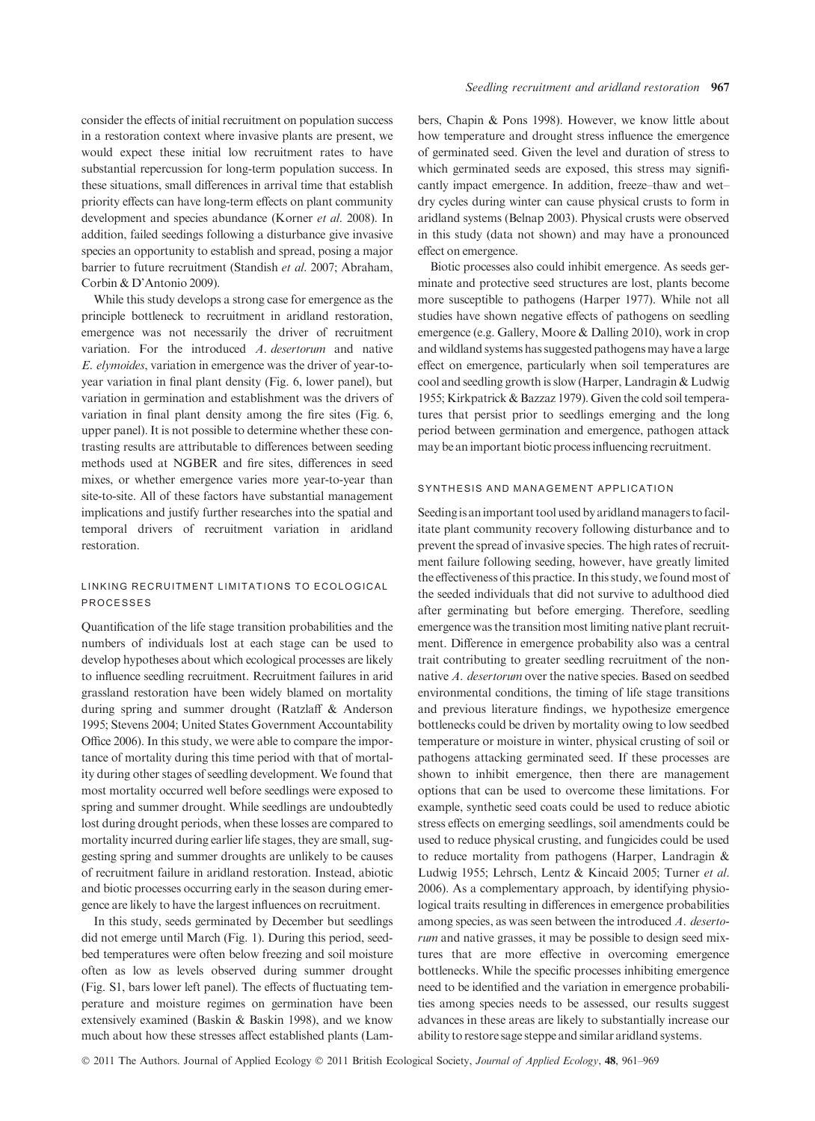consider the effects of initial recruitment on population success in a restoration context where invasive plants are present, we would expect these initial low recruitment rates to have substantial repercussion for long-term population success. In these situations, small differences in arrival time that establish priority effects can have long-term effects on plant community development and species abundance (Korner et al. 2008). In addition, failed seedings following a disturbance give invasive species an opportunity to establish and spread, posing a major barrier to future recruitment (Standish et al. 2007; Abraham, Corbin & D'Antonio 2009).

While this study develops a strong case for emergence as the principle bottleneck to recruitment in aridland restoration, emergence was not necessarily the driver of recruitment variation. For the introduced A. desertorum and native E. elymoides, variation in emergence was the driver of year-toyear variation in final plant density (Fig. 6, lower panel), but variation in germination and establishment was the drivers of variation in final plant density among the fire sites (Fig. 6, upper panel). It is not possible to determine whether these contrasting results are attributable to differences between seeding methods used at NGBER and fire sites, differences in seed mixes, or whether emergence varies more year-to-year than site-to-site. All of these factors have substantial management implications and justify further researches into the spatial and temporal drivers of recruitment variation in aridland restoration.

# LINKING RECRUITMENT LIMITATIONS TO ECOLOGICAL PROCESSES

Quantification of the life stage transition probabilities and the numbers of individuals lost at each stage can be used to develop hypotheses about which ecological processes are likely to influence seedling recruitment. Recruitment failures in arid grassland restoration have been widely blamed on mortality during spring and summer drought (Ratzlaff & Anderson 1995; Stevens 2004; United States Government Accountability Office 2006). In this study, we were able to compare the importance of mortality during this time period with that of mortality during other stages of seedling development. We found that most mortality occurred well before seedlings were exposed to spring and summer drought. While seedlings are undoubtedly lost during drought periods, when these losses are compared to mortality incurred during earlier life stages, they are small, suggesting spring and summer droughts are unlikely to be causes of recruitment failure in aridland restoration. Instead, abiotic and biotic processes occurring early in the season during emergence are likely to have the largest influences on recruitment.

In this study, seeds germinated by December but seedlings did not emerge until March (Fig. 1). During this period, seedbed temperatures were often below freezing and soil moisture often as low as levels observed during summer drought (Fig. S1, bars lower left panel). The effects of fluctuating temperature and moisture regimes on germination have been extensively examined (Baskin & Baskin 1998), and we know much about how these stresses affect established plants (Lambers, Chapin & Pons 1998). However, we know little about how temperature and drought stress influence the emergence of germinated seed. Given the level and duration of stress to which germinated seeds are exposed, this stress may significantly impact emergence. In addition, freeze–thaw and wet– dry cycles during winter can cause physical crusts to form in aridland systems (Belnap 2003). Physical crusts were observed in this study (data not shown) and may have a pronounced effect on emergence.

Biotic processes also could inhibit emergence. As seeds germinate and protective seed structures are lost, plants become more susceptible to pathogens (Harper 1977). While not all studies have shown negative effects of pathogens on seedling emergence (e.g. Gallery, Moore & Dalling 2010), work in crop and wildland systems has suggested pathogens may have a large effect on emergence, particularly when soil temperatures are cool and seedling growth is slow (Harper, Landragin & Ludwig 1955; Kirkpatrick & Bazzaz 1979). Given the cold soil temperatures that persist prior to seedlings emerging and the long period between germination and emergence, pathogen attack may be an important biotic process influencing recruitment.

#### SYNTHESIS AND MANAGEMENT APPLICATION

Seeding is an important tool used by aridland managers to facilitate plant community recovery following disturbance and to prevent the spread of invasive species. The high rates of recruitment failure following seeding, however, have greatly limited the effectiveness of this practice. In this study, we found most of the seeded individuals that did not survive to adulthood died after germinating but before emerging. Therefore, seedling emergence was the transition most limiting native plant recruitment. Difference in emergence probability also was a central trait contributing to greater seedling recruitment of the nonnative A. desertorum over the native species. Based on seedbed environmental conditions, the timing of life stage transitions and previous literature findings, we hypothesize emergence bottlenecks could be driven by mortality owing to low seedbed temperature or moisture in winter, physical crusting of soil or pathogens attacking germinated seed. If these processes are shown to inhibit emergence, then there are management options that can be used to overcome these limitations. For example, synthetic seed coats could be used to reduce abiotic stress effects on emerging seedlings, soil amendments could be used to reduce physical crusting, and fungicides could be used to reduce mortality from pathogens (Harper, Landragin & Ludwig 1955; Lehrsch, Lentz & Kincaid 2005; Turner et al. 2006). As a complementary approach, by identifying physiological traits resulting in differences in emergence probabilities among species, as was seen between the introduced A. desertorum and native grasses, it may be possible to design seed mixtures that are more effective in overcoming emergence bottlenecks. While the specific processes inhibiting emergence need to be identified and the variation in emergence probabilities among species needs to be assessed, our results suggest advances in these areas are likely to substantially increase our ability to restore sage steppe and similar aridland systems.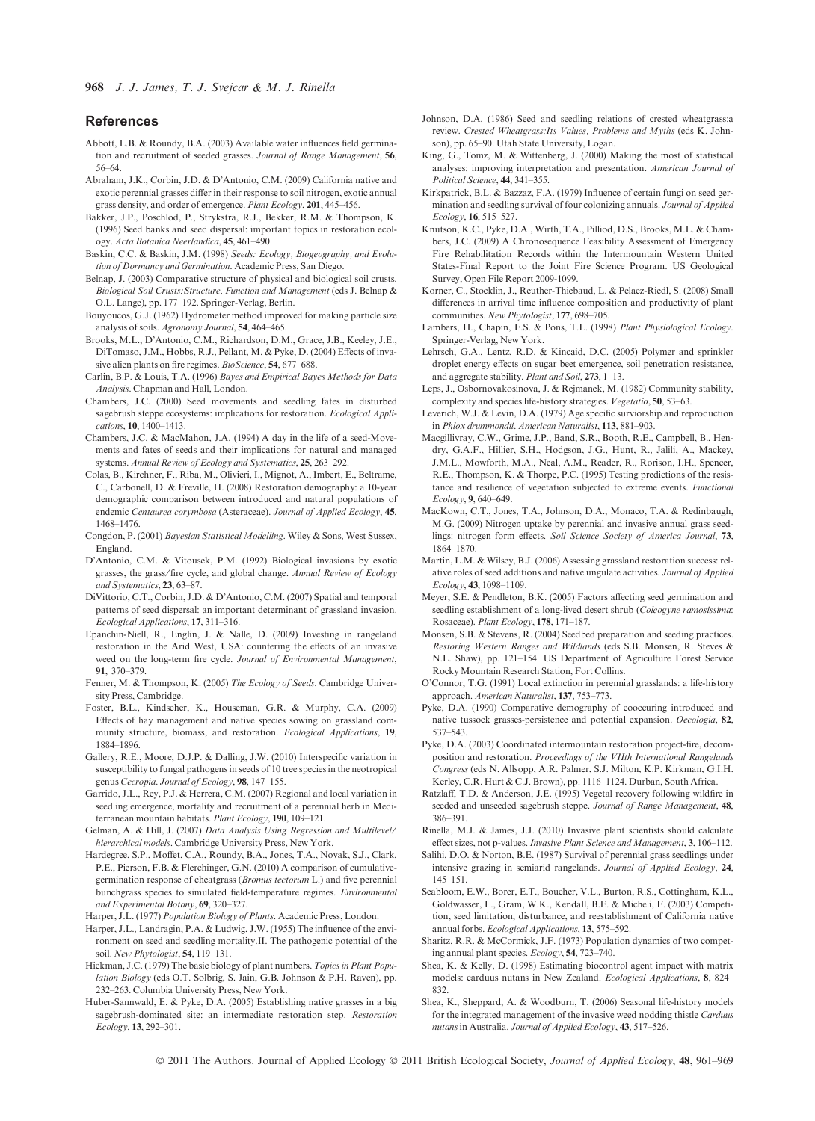#### References

- Abbott, L.B. & Roundy, B.A. (2003) Available water influences field germination and recruitment of seeded grasses. Journal of Range Management, 56, 56–64.
- Abraham, J.K., Corbin, J.D. & D'Antonio, C.M. (2009) California native and exotic perennial grasses differ in their response to soil nitrogen, exotic annual grass density, and order of emergence. Plant Ecology, 201, 445–456.
- Bakker, J.P., Poschlod, P., Strykstra, R.J., Bekker, R.M. & Thompson, K. (1996) Seed banks and seed dispersal: important topics in restoration ecology. Acta Botanica Neerlandica, 45, 461–490.
- Baskin, C.C. & Baskin, J.M. (1998) Seeds: Ecology, Biogeography, and Evolution of Dormancy and Germination. Academic Press, San Diego.
- Belnap, J. (2003) Comparative structure of physical and biological soil crusts. Biological Soil Crusts:Structure, Function and Management (eds J. Belnap & O.L. Lange), pp. 177–192. Springer-Verlag, Berlin.
- Bouyoucos, G.J. (1962) Hydrometer method improved for making particle size analysis of soils. Agronomy Journal, 54, 464–465.
- Brooks, M.L., D'Antonio, C.M., Richardson, D.M., Grace, J.B., Keeley, J.E., DiTomaso, J.M., Hobbs, R.J., Pellant, M. & Pyke, D. (2004) Effects of invasive alien plants on fire regimes. BioScience, 54, 677–688.
- Carlin, B.P. & Louis, T.A. (1996) Bayes and Empirical Bayes Methods for Data Analysis. Chapman and Hall, London.
- Chambers, J.C. (2000) Seed movements and seedling fates in disturbed sagebrush steppe ecosystems: implications for restoration. Ecological Applications, 10, 1400–1413.
- Chambers, J.C. & MacMahon, J.A. (1994) A day in the life of a seed-Movements and fates of seeds and their implications for natural and managed systems. Annual Review of Ecology and Systematics, 25, 263–292.
- Colas, B., Kirchner, F., Riba, M., Olivieri, I., Mignot, A., Imbert, E., Beltrame, C., Carbonell, D. & Freville, H. (2008) Restoration demography: a 10-year demographic comparison between introduced and natural populations of endemic Centaurea corymbosa (Asteraceae). Journal of Applied Ecology, 45, 1468–1476.
- Congdon, P. (2001) Bayesian Statistical Modelling. Wiley & Sons, West Sussex, England.
- D'Antonio, C.M. & Vitousek, P.M. (1992) Biological invasions by exotic grasses, the grass⁄ fire cycle, and global change. Annual Review of Ecology and Systematics, 23, 63–87.
- DiVittorio, C.T., Corbin, J.D. & D'Antonio, C.M. (2007) Spatial and temporal patterns of seed dispersal: an important determinant of grassland invasion. Ecological Applications, 17, 311–316.
- Epanchin-Niell, R., Englin, J. & Nalle, D. (2009) Investing in rangeland restoration in the Arid West, USA: countering the effects of an invasive weed on the long-term fire cycle. Journal of Environmental Management, 91, 370–379.
- Fenner, M. & Thompson, K. (2005) The Ecology of Seeds. Cambridge University Press, Cambridge.
- Foster, B.L., Kindscher, K., Houseman, G.R. & Murphy, C.A. (2009) Effects of hay management and native species sowing on grassland community structure, biomass, and restoration. Ecological Applications, 19, 1884–1896.
- Gallery, R.E., Moore, D.J.P. & Dalling, J.W. (2010) Interspecific variation in susceptibility to fungal pathogens in seeds of 10 tree species in the neotropical genus Cecropia. Journal of Ecology, 98, 147–155.
- Garrido, J.L., Rey, P.J. & Herrera, C.M. (2007) Regional and local variation in seedling emergence, mortality and recruitment of a perennial herb in Mediterranean mountain habitats. Plant Ecology, 190, 109–121.
- Gelman, A. & Hill, J. (2007) Data Analysis Using Regression and Multilevel/ hierarchical models. Cambridge University Press, New York.
- Hardegree, S.P., Moffet, C.A., Roundy, B.A., Jones, T.A., Novak, S.J., Clark, P.E., Pierson, F.B. & Flerchinger, G.N. (2010) A comparison of cumulativegermination response of cheatgrass (Bromus tectorum L.) and five perennial bunchgrass species to simulated field-temperature regimes. Environmental and Experimental Botany, 69, 320–327.
- Harper, J.L. (1977) Population Biology of Plants. Academic Press, London.
- Harper, J.L., Landragin, P.A. & Ludwig, J.W. (1955) The influence of the environment on seed and seedling mortality.II. The pathogenic potential of the soil. New Phytologist, 54, 119-131.
- Hickman, J.C. (1979) The basic biology of plant numbers. Topics in Plant Population Biology (eds O.T. Solbrig, S. Jain, G.B. Johnson & P.H. Raven), pp. 232–263. Columbia University Press, New York.
- Huber-Sannwald, E. & Pyke, D.A. (2005) Establishing native grasses in a big sagebrush-dominated site: an intermediate restoration step. Restoration Ecology, 13, 292–301.
- Johnson, D.A. (1986) Seed and seedling relations of crested wheatgrass:a review. Crested Wheatgrass:Its Values, Problems and Myths (eds K. Johnson), pp. 65–90. Utah State University, Logan.
- King, G., Tomz, M. & Wittenberg, J. (2000) Making the most of statistical analyses: improving interpretation and presentation. American Journal of Political Science, 44, 341–355.
- Kirkpatrick, B.L. & Bazzaz, F.A. (1979) Influence of certain fungi on seed germination and seedling survival of four colonizing annuals. Journal of Applied Ecology, 16, 515–527.
- Knutson, K.C., Pyke, D.A., Wirth, T.A., Pilliod, D.S., Brooks, M.L. & Chambers, J.C. (2009) A Chronosequence Feasibility Assessment of Emergency Fire Rehabilitation Records within the Intermountain Western United States-Final Report to the Joint Fire Science Program. US Geological Survey, Open File Report 2009-1099.
- Korner, C., Stocklin, J., Reuther-Thiebaud, L. & Pelaez-Riedl, S. (2008) Small differences in arrival time influence composition and productivity of plant communities. New Phytologist, 177, 698–705.
- Lambers, H., Chapin, F.S. & Pons, T.L. (1998) Plant Physiological Ecology. Springer-Verlag, New York.
- Lehrsch, G.A., Lentz, R.D. & Kincaid, D.C. (2005) Polymer and sprinkler droplet energy effects on sugar beet emergence, soil penetration resistance, and aggregate stability. Plant and Soil, 273, 1–13.
- Leps, J., Osbornovakosinova, J. & Rejmanek, M. (1982) Community stability, complexity and species life-history strategies. Vegetatio, 50, 53–63.
- Leverich, W.J. & Levin, D.A. (1979) Age specific surviorship and reproduction in Phlox drummondii. American Naturalist, 113, 881–903.
- Macgillivray, C.W., Grime, J.P., Band, S.R., Booth, R.E., Campbell, B., Hendry, G.A.F., Hillier, S.H., Hodgson, J.G., Hunt, R., Jalili, A., Mackey, J.M.L., Mowforth, M.A., Neal, A.M., Reader, R., Rorison, I.H., Spencer, R.E., Thompson, K. & Thorpe, P.C. (1995) Testing predictions of the resistance and resilience of vegetation subjected to extreme events. Functional Ecology, 9, 640–649.
- MacKown, C.T., Jones, T.A., Johnson, D.A., Monaco, T.A. & Redinbaugh, M.G. (2009) Nitrogen uptake by perennial and invasive annual grass seedlings: nitrogen form effects. Soil Science Society of America Journal, 73, 1864–1870.
- Martin, L.M. & Wilsey, B.J. (2006) Assessing grassland restoration success: relative roles of seed additions and native ungulate activities. Journal of Applied Ecology, 43, 1098–1109.
- Meyer, S.E. & Pendleton, B.K. (2005) Factors affecting seed germination and seedling establishment of a long-lived desert shrub (Coleogyne ramosissima: Rosaceae). Plant Ecology, 178, 171–187.
- Monsen, S.B. & Stevens, R. (2004) Seedbed preparation and seeding practices. Restoring Western Ranges and Wildlands (eds S.B. Monsen, R. Steves & N.L. Shaw), pp. 121–154. US Department of Agriculture Forest Service Rocky Mountain Research Station, Fort Collins.
- O'Connor, T.G. (1991) Local extinction in perennial grasslands: a life-history approach. American Naturalist, 137, 753–773.
- Pyke, D.A. (1990) Comparative demography of cooccuring introduced and native tussock grasses-persistence and potential expansion. Oecologia, 82, 537–543.
- Pyke, D.A. (2003) Coordinated intermountain restoration project-fire, decomposition and restoration. Proceedings of the VIIth International Rangelands Congress (eds N. Allsopp, A.R. Palmer, S.J. Milton, K.P. Kirkman, G.I.H. Kerley, C.R. Hurt & C.J. Brown), pp. 1116–1124. Durban, South Africa.
- Ratzlaff, T.D. & Anderson, J.E. (1995) Vegetal recovery following wildfire in seeded and unseeded sagebrush steppe. Journal of Range Management, 48, 386–391.
- Rinella, M.J. & James, J.J. (2010) Invasive plant scientists should calculate effect sizes, not p-values. Invasive Plant Science and Management, 3, 106-112.
- Salihi, D.O. & Norton, B.E. (1987) Survival of perennial grass seedlings under intensive grazing in semiarid rangelands. Journal of Applied Ecology, 24, 145–151.
- Seabloom, E.W., Borer, E.T., Boucher, V.L., Burton, R.S., Cottingham, K.L., Goldwasser, L., Gram, W.K., Kendall, B.E. & Micheli, F. (2003) Competition, seed limitation, disturbance, and reestablishment of California native annual forbs. Ecological Applications, 13, 575–592.
- Sharitz, R.R. & McCormick, J.F. (1973) Population dynamics of two competing annual plant species. Ecology, 54, 723–740.
- Shea, K. & Kelly, D. (1998) Estimating biocontrol agent impact with matrix models: carduus nutans in New Zealand. Ecological Applications, 8, 824– 832.
- Shea, K., Sheppard, A. & Woodburn, T. (2006) Seasonal life-history models for the integrated management of the invasive weed nodding thistle Carduus nutans in Australia. Journal of Applied Ecology, 43, 517-526.